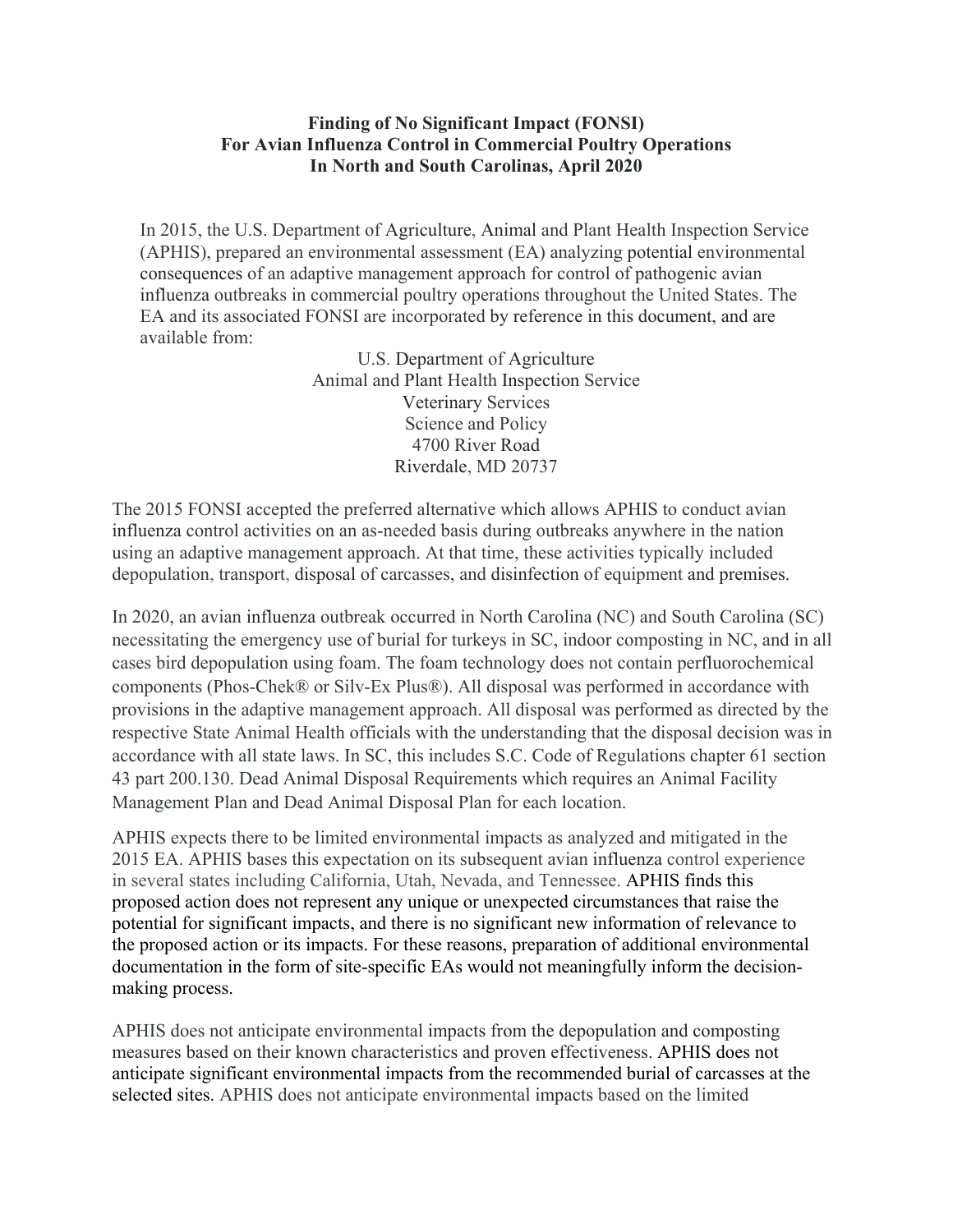## **Finding of No Significant Impact (FONSI) For Avian Influenza Control in Commercial Poultry Operations In North and South Carolinas, April 2020**

In 2015, the U.S. Department of Agriculture, Animal and Plant Health Inspection Service (APHIS), prepared an environmental assessment (EA) analyzing potential environmental consequences of an adaptive management approach for control of pathogenic avian influenza outbreaks in commercial poultry operations throughout the United States. The EA and its associated FONSI are incorporated by reference in this document, and are available from:

> U.S. Department of Agriculture Animal and Plant Health Inspection Service Veterinary Services Science and Policy 4700 River Road Riverdale, MD 20737

The 2015 FONSI accepted the preferred alternative which allows APHIS to conduct avian influenza control activities on an as-needed basis during outbreaks anywhere in the nation using an adaptive management approach. At that time, these activities typically included depopulation, transport, disposal of carcasses, and disinfection of equipment and premises.

In 2020, an avian influenza outbreak occurred in North Carolina (NC) and South Carolina (SC) necessitating the emergency use of burial for turkeys in SC, indoor composting in NC, and in all cases bird depopulation using foam. The foam technology does not contain perfluorochemical components (Phos-Chek® or Silv-Ex Plus®). All disposal was performed in accordance with provisions in the adaptive management approach. All disposal was performed as directed by the respective State Animal Health officials with the understanding that the disposal decision was in accordance with all state laws. In SC, this includes S.C. Code of Regulations chapter 61 section 43 part 200.130. Dead Animal Disposal Requirements which requires an Animal Facility Management Plan and Dead Animal Disposal Plan for each location.

APHIS expects there to be limited environmental impacts as analyzed and mitigated in the 2015 EA. APHIS bases this expectation on its subsequent avian influenza control experience in several states including California, Utah, Nevada, and Tennessee. APHIS finds this proposed action does not represent any unique or unexpected circumstances that raise the potential for significant impacts, and there is no significant new information of relevance to the proposed action or its impacts. For these reasons, preparation of additional environmental documentation in the form of site-specific EAs would not meaningfully inform the decisionmaking process.

APHIS does not anticipate environmental impacts from the depopulation and composting measures based on their known characteristics and proven effectiveness. APHIS does not anticipate significant environmental impacts from the recommended burial of carcasses at the selected sites. APHIS does not anticipate environmental impacts based on the limited